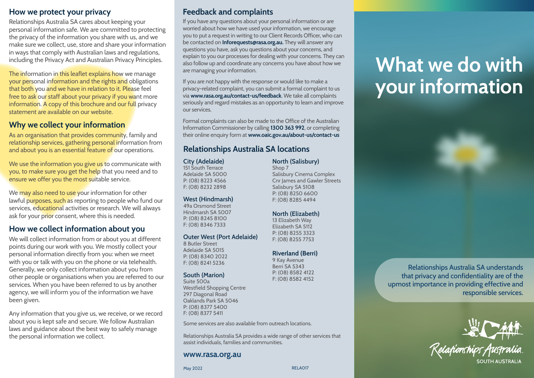## **How we protect your privacy**

Relationships Australia SA cares about keeping your personal information safe. We are committed to protecting the privacy of the information you share with us, and we make sure we collect, use, store and share your information in ways that comply with Australian laws and regulations, including the Privacy Act and Australian Privacy Principles.

The information in this leaflet explains how we manage your personal information and the rights and obligations that both you and we have in relation to it. Please feel free to ask our staff about your privacy if you want more information. A copy of this brochure and our full privacy statement are available on our website.

## **Why we collect your information**

As an organisation that provides community, family and relationship services, gathering personal information from and about you is an essential feature of our operations.

We use the information you give us to communicate with you, to make sure you get the help that you need and to ensure we offer you the most suitable service.

We may also need to use your information for other lawful purposes, such as reporting to people who fund our services, educational activities or research. We will always ask for your prior consent, where this is needed.

## **How we collect information about you**

We will collect information from or about you at different points during our work with you. We mostly collect your personal information directly from you: when we meet with you or talk with you on the phone or via telehealth. Generally, we only collect information about you from other people or organisations when you are referred to our services. When you have been referred to us by another agency, we will inform you of the information we have been given.

Any information that you give us, we receive, or we record about you is kept safe and secure. We follow Australian laws and guidance about the best way to safely manage the personal information we collect.

## **Feedback and complaints**

If you have any questions about your personal information or are worried about how we have used your information, we encourage you to put a request in writing to our Client Records Officer, who can be contacted on **Inforequests@rasa.org.au.** They will answer any questions you have, ask you questions about your concerns, and explain to you our processes for dealing with your concerns. They can also follow up and coordinate any concerns you have about how we are managing your information.

If you are not happy with the response or would like to make a privacy-related complaint, you can submit a formal complaint to us via **www.rasa.org.au/contact-us/feedback**. We take all complaints seriously and regard mistakes as an opportunity to learn and improve our services.

Formal complaints can also be made to the Office of the Australian Information Commissioner by calling **1300 363 992**, or completing their online enquiry form at **www.oaic.gov.au/about-us/contact-us**

# **Relationships Australia SA locations**

**City (Adelaide)** 151 South Terrace

Adelaide SA 5000 P: (08) 8223 4566 F: (08) 8232 2898

#### **West (Hindmarsh)**

49a Orsmond Street Hindmarsh SA 5007 P: (08) 8245 8100 F: (08) 8346 7333

#### **Outer West (Port Adelaide)**

8 Butler Street Adelaide SA 5015 P: (08) 8340 2022 F: (08) 8241 5236

#### **South (Marion)**

Suite 500a Westfield Shopping Centre 297 Diagonal Road Oaklands Park SA 5046 P: (08) 8377 5400 F: (08) 8377 5411

Some services are also available from outreach locations.

Relationships Australia SA provides a wide range of other services that assist individuals, families and communities.

#### **www.rasa.org.au**

#### Shop 7 Salisbury Cinema Complex Cnr James and Gawler Streets Salisbury SA 5108 P: (08) 8250 6600 F: (08) 8285 4494

#### **North (Elizabeth)**

**North (Salisbury)**

13 Elizabeth Way Elizabeth SA 5112 P: (08) 8255 3323 F: (08) 8255 7753

#### **Riverland (Berri)**

9 Kay Avenue Berri SA 5343 P: (08) 8582 4122 F: (08) 8582 4152

# **What we do with your information**



Relationships Australia SA understands that privacy and confidentiality are of the upmost importance in providing effective and responsible services.



RELA017